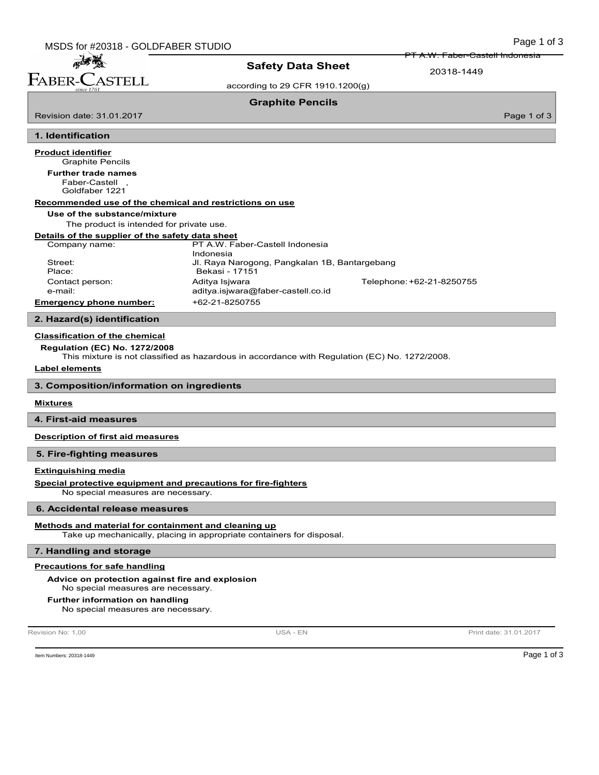PT A.W. Faber-Castell Indonesia

20318-1449

according to 29 CFR 1910.1200(g)

Safety Data Sheet

Graphite Pencils

Page 1 of 3

# 1. Identification

Revision date: 31.01.2017

麻香醋 FABER-CASTELL

Graphite Pencils Product identifier Faber-Castell , Goldfaber 1221 Further trade names Recommended use of the chemical and restrictions on use Use of the substance/mixture The product is intended for private use. Details of the supplier of the safety data sheet Company name: PT A.W. Faber-Castell Indonesia Indonesia Street: Jl. Raya Narogong, Pangkalan 1B, Bantargebang Place: Bekasi - 17151 Contact person: Aditya Isjwara Telephone:+62-21-8250755 e-mail: aditya.isjwara@faber-castell.co.id Emergency phone number: +62-21-8250755

# 2. Hazard(s) identification

## Classification of the chemical

Regulation (EC) No. 1272/2008

This mixture is not classified as hazardous in accordance with Regulation (EC) No. 1272/2008.

#### Label elements

3. Composition/information on ingredients

#### **Mixtures**

4. First-aid measures

Description of first aid measures

#### 5. Fire-fighting measures

#### Extinguishing media

Special protective equipment and precautions for fire-fighters

No special measures are necessary.

#### 6. Accidental release measures

#### Methods and material for containment and cleaning up

Take up mechanically, placing in appropriate containers for disposal.

#### 7. Handling and storage

### Precautions for safe handling

#### Advice on protection against fire and explosion

No special measures are necessary.

#### Further information on handling

No special measures are necessary.

Revision No: 1,00 **Print date: 31.01.2017** USA - EN USA - EN Print date: 31.01.2017

Item Numbers: 20318-1449 Page 1 of 3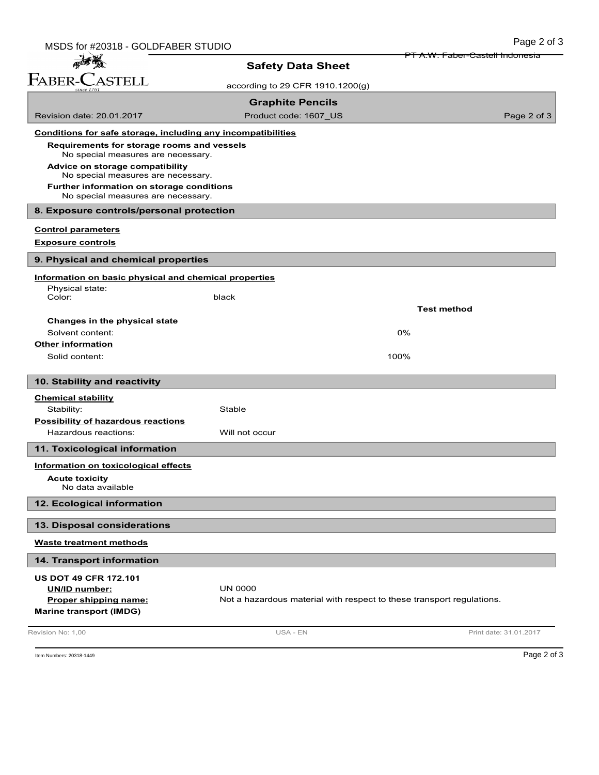| MSDS for #20318 - GOLDFABER STUDIO                                               |                                                                       | Page 2 of 3                                |
|----------------------------------------------------------------------------------|-----------------------------------------------------------------------|--------------------------------------------|
| 一番                                                                               | <b>Safety Data Sheet</b>                                              | <del>PT A.W. Faber-Castell Indonesia</del> |
| FABER-CASTELL                                                                    |                                                                       |                                            |
|                                                                                  | according to 29 CFR 1910.1200(g)                                      |                                            |
|                                                                                  | <b>Graphite Pencils</b>                                               |                                            |
| Revision date: 20.01.2017                                                        | Product code: 1607_US                                                 | Page 2 of 3                                |
| Conditions for safe storage, including any incompatibilities                     |                                                                       |                                            |
| Requirements for storage rooms and vessels<br>No special measures are necessary. |                                                                       |                                            |
| Advice on storage compatibility<br>No special measures are necessary.            |                                                                       |                                            |
| Further information on storage conditions<br>No special measures are necessary.  |                                                                       |                                            |
| 8. Exposure controls/personal protection                                         |                                                                       |                                            |
| <b>Control parameters</b>                                                        |                                                                       |                                            |
| <b>Exposure controls</b>                                                         |                                                                       |                                            |
| 9. Physical and chemical properties                                              |                                                                       |                                            |
| Information on basic physical and chemical properties                            |                                                                       |                                            |
| Physical state:<br>Color:                                                        | black                                                                 |                                            |
|                                                                                  |                                                                       | <b>Test method</b>                         |
| Changes in the physical state                                                    |                                                                       |                                            |
| Solvent content:                                                                 |                                                                       | 0%                                         |
| <b>Other information</b>                                                         |                                                                       |                                            |
| Solid content:                                                                   |                                                                       | 100%                                       |
| 10. Stability and reactivity                                                     |                                                                       |                                            |
| <b>Chemical stability</b>                                                        |                                                                       |                                            |
| Stability:                                                                       | Stable                                                                |                                            |
| <b>Possibility of hazardous reactions</b>                                        |                                                                       |                                            |
| Hazardous reactions:                                                             | Will not occur                                                        |                                            |
| 11. Toxicological information                                                    |                                                                       |                                            |
| Information on toxicological effects                                             |                                                                       |                                            |
| <b>Acute toxicity</b><br>No data available                                       |                                                                       |                                            |
| 12. Ecological information                                                       |                                                                       |                                            |
| 13. Disposal considerations                                                      |                                                                       |                                            |
| <b>Waste treatment methods</b>                                                   |                                                                       |                                            |
| 14. Transport information                                                        |                                                                       |                                            |
| <b>US DOT 49 CFR 172.101</b>                                                     |                                                                       |                                            |
| UN/ID number:                                                                    | <b>UN 0000</b>                                                        |                                            |
| Proper shipping name:                                                            | Not a hazardous material with respect to these transport regulations. |                                            |
| <b>Marine transport (IMDG)</b>                                                   |                                                                       |                                            |
| Revision No: 1,00                                                                | USA - EN                                                              | Print date: 31.01.2017                     |

Item Numbers: 20318-1449 **Page 2 of 3**